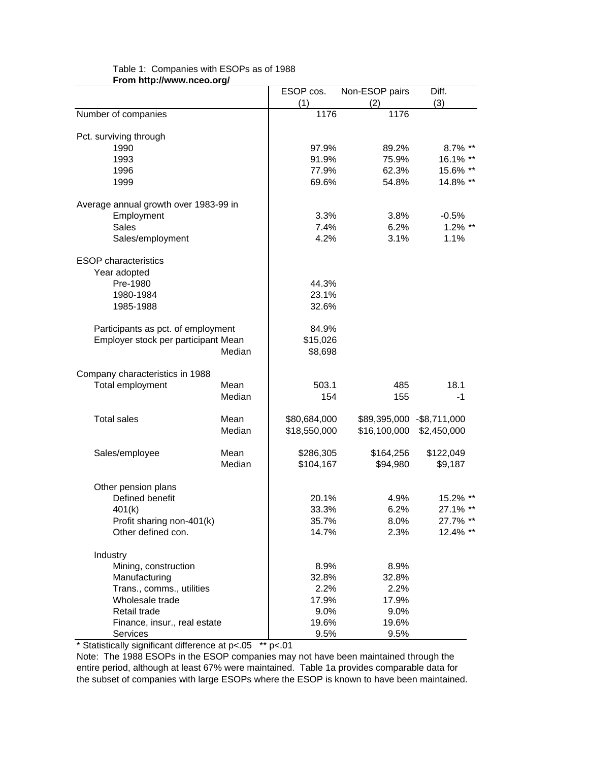|                                       |        | ESOP cos.              | Non-ESOP pairs             | Diff.       |
|---------------------------------------|--------|------------------------|----------------------------|-------------|
|                                       |        | (1)                    | (2)                        | (3)         |
| Number of companies                   |        | 1176                   | 1176                       |             |
|                                       |        |                        |                            |             |
| Pct. surviving through                |        |                        |                            |             |
| 1990                                  |        | 97.9%                  | 89.2%                      | 8.7% **     |
| 1993                                  |        | 91.9%                  | 75.9%                      | 16.1% **    |
| 1996                                  |        | 77.9%                  | 62.3%                      | 15.6% **    |
| 1999                                  |        | 69.6%                  | 54.8%                      | 14.8% **    |
| Average annual growth over 1983-99 in |        |                        |                            |             |
| Employment                            |        | 3.3%                   | 3.8%                       | $-0.5%$     |
| <b>Sales</b>                          |        | 7.4%                   | 6.2%                       | $1.2\%$ **  |
| Sales/employment                      |        | 4.2%                   | 3.1%                       | 1.1%        |
|                                       |        |                        |                            |             |
| <b>ESOP</b> characteristics           |        |                        |                            |             |
| Year adopted                          |        |                        |                            |             |
| Pre-1980                              |        | 44.3%                  |                            |             |
| 1980-1984                             |        | 23.1%                  |                            |             |
| 1985-1988                             |        | 32.6%                  |                            |             |
| Participants as pct. of employment    |        | 84.9%                  |                            |             |
| Employer stock per participant Mean   |        | \$15,026               |                            |             |
|                                       | Median | \$8,698                |                            |             |
|                                       |        |                        |                            |             |
| Company characteristics in 1988       |        |                        |                            |             |
| Total employment                      | Mean   | 503.1                  | 485                        | 18.1        |
|                                       | Median | 154                    | 155                        | -1          |
| <b>Total sales</b>                    | Mean   | \$80,684,000           | \$89,395,000 - \$8,711,000 |             |
|                                       | Median | \$18,550,000           | \$16,100,000               | \$2,450,000 |
|                                       | Mean   |                        |                            |             |
| Sales/employee                        | Median | \$286,305<br>\$104,167 | \$164,256<br>\$94,980      | \$122,049   |
|                                       |        |                        |                            | \$9,187     |
| Other pension plans                   |        |                        |                            |             |
| Defined benefit                       |        | 20.1%                  | 4.9%                       | 15.2% **    |
| 401(k)                                |        | 33.3%                  | 6.2%                       | 27.1% **    |
| Profit sharing non-401(k)             |        | 35.7%                  | 8.0%                       | 27.7% **    |
| Other defined con.                    |        | 14.7%                  | 2.3%                       | 12.4% **    |
| Industry                              |        |                        |                            |             |
| Mining, construction                  |        | 8.9%                   | 8.9%                       |             |
| Manufacturing                         |        | 32.8%                  | 32.8%                      |             |
| Trans., comms., utilities             |        | 2.2%                   | 2.2%                       |             |
| Wholesale trade                       |        | 17.9%                  | 17.9%                      |             |
| Retail trade                          |        | 9.0%                   | 9.0%                       |             |
| Finance, insur., real estate          |        | 19.6%                  | 19.6%                      |             |
| <b>Services</b>                       |        | 9.5%                   | 9.5%                       |             |
|                                       |        |                        |                            |             |

## Table 1: Companies with ESOPs as of 1988 **From http://www.nceo.org/**

\* Statistically significant difference at p<.05 \*\* p<.01

Note: The 1988 ESOPs in the ESOP companies may not have been maintained through the entire period, although at least 67% were maintained. Table 1a provides comparable data for the subset of companies with large ESOPs where the ESOP is known to have been maintained.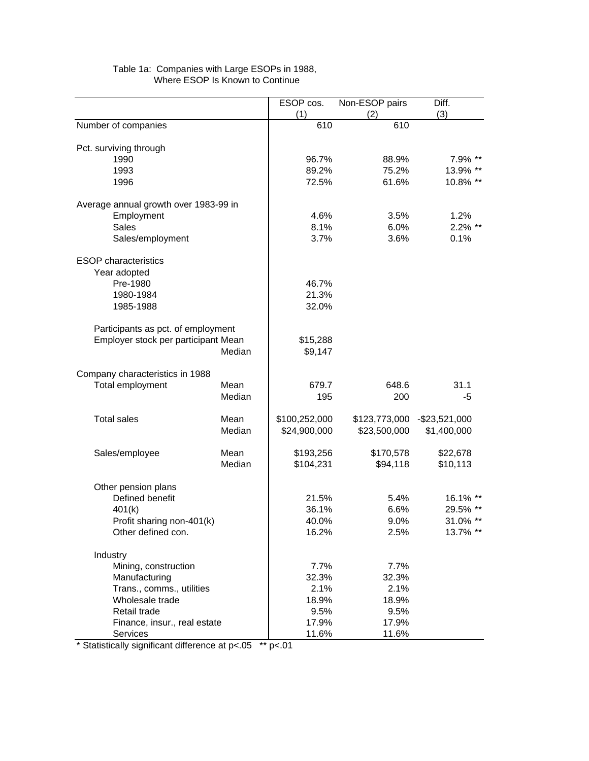|                                       |        | ESOP cos.     | Non-ESOP pairs | Diff.                        |
|---------------------------------------|--------|---------------|----------------|------------------------------|
|                                       |        | (1)           | (2)            | (3)                          |
| Number of companies                   |        | 610           | 610            |                              |
|                                       |        |               |                |                              |
| Pct. surviving through                |        |               |                |                              |
| 1990                                  |        | 96.7%         | 88.9%          | 7.9% **                      |
| 1993                                  |        | 89.2%         | 75.2%<br>61.6% | 13.9% **<br>10.8% **         |
| 1996                                  |        | 72.5%         |                |                              |
| Average annual growth over 1983-99 in |        |               |                |                              |
| Employment                            |        | 4.6%          | 3.5%           | 1.2%                         |
| <b>Sales</b>                          |        | 8.1%          | 6.0%           | 2.2% **                      |
| Sales/employment                      |        | 3.7%          | 3.6%           | 0.1%                         |
|                                       |        |               |                |                              |
| <b>ESOP</b> characteristics           |        |               |                |                              |
| Year adopted                          |        |               |                |                              |
| Pre-1980                              |        | 46.7%         |                |                              |
| 1980-1984                             |        | 21.3%         |                |                              |
| 1985-1988                             |        | 32.0%         |                |                              |
|                                       |        |               |                |                              |
| Participants as pct. of employment    |        |               |                |                              |
| Employer stock per participant Mean   |        | \$15,288      |                |                              |
|                                       | Median | \$9,147       |                |                              |
|                                       |        |               |                |                              |
| Company characteristics in 1988       |        |               |                |                              |
| Total employment                      | Mean   | 679.7         | 648.6          | 31.1                         |
|                                       | Median | 195           | 200            | -5                           |
| <b>Total sales</b>                    | Mean   | \$100,252,000 |                | \$123,773,000 - \$23,521,000 |
|                                       | Median | \$24,900,000  | \$23,500,000   | \$1,400,000                  |
|                                       |        |               |                |                              |
| Sales/employee                        | Mean   | \$193,256     | \$170,578      | \$22,678                     |
|                                       | Median | \$104,231     | \$94,118       | \$10,113                     |
|                                       |        |               |                |                              |
| Other pension plans                   |        |               |                |                              |
| Defined benefit                       |        | 21.5%         | 5.4%           | 16.1% **                     |
| 401(k)                                |        | 36.1%         | 6.6%           | 29.5% **                     |
| Profit sharing non-401(k)             |        | 40.0%         | 9.0%           | 31.0% **                     |
| Other defined con.                    |        | 16.2%         | 2.5%           | 13.7% **                     |
|                                       |        |               |                |                              |
| Industry                              |        |               |                |                              |
| Mining, construction                  |        | 7.7%          | 7.7%           |                              |
| Manufacturing                         |        | 32.3%         | 32.3%          |                              |
| Trans., comms., utilities             |        | 2.1%          | 2.1%           |                              |
| Wholesale trade                       |        | 18.9%         | 18.9%          |                              |
| Retail trade                          |        | 9.5%          | 9.5%           |                              |
| Finance, insur., real estate          |        | 17.9%         | 17.9%          |                              |
| <b>Services</b>                       |        | 11.6%         | 11.6%          |                              |

## Table 1a: Companies with Large ESOPs in 1988, Where ESOP Is Known to Continue

\* Statistically significant difference at p<.05 \*\* p<.01